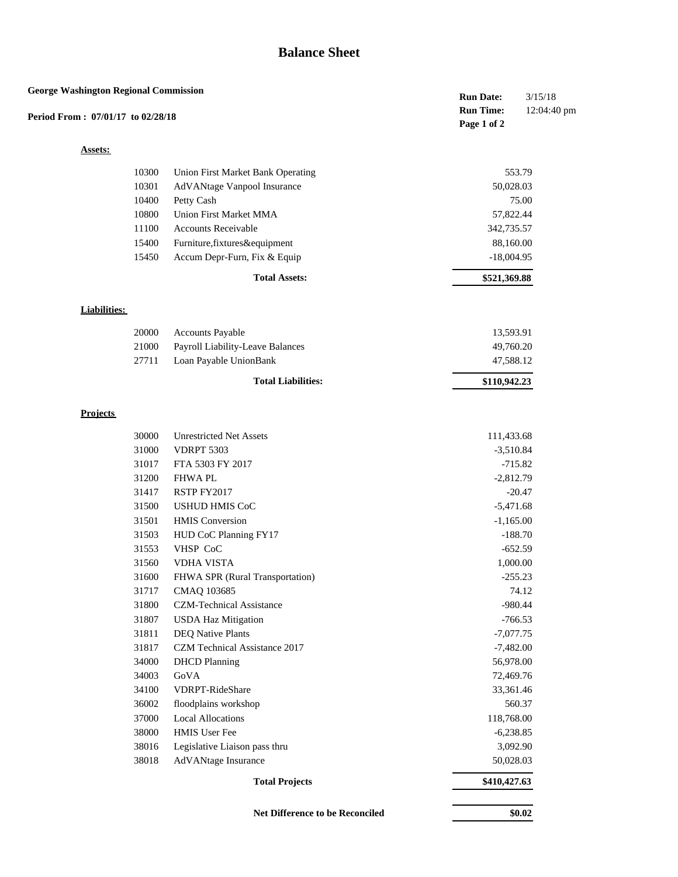## **Balance Sheet**

| <b>George Washington Regional Commission</b> |                     |                                   | <b>Run Date:</b>                | 3/15/18     |
|----------------------------------------------|---------------------|-----------------------------------|---------------------------------|-------------|
| Period From: 07/01/17 to 02/28/18            |                     |                                   | <b>Run Time:</b><br>Page 1 of 2 | 12:04:40 pm |
| <b>Assets:</b>                               |                     |                                   |                                 |             |
|                                              | 10300               | Union First Market Bank Operating |                                 | 553.79      |
|                                              | 10301               | AdVANtage Vanpool Insurance       | 50,028.03                       |             |
|                                              | 10400               | Petty Cash                        |                                 | 75.00       |
|                                              | 10800               | <b>Union First Market MMA</b>     | 57,822.44                       |             |
|                                              | 11100               | <b>Accounts Receivable</b>        | 342,735.57                      |             |
|                                              | 15400               | Furniture, fixtures&equipment     | 88,160.00                       |             |
|                                              | 15450               | Accum Depr-Furn, Fix & Equip      | $-18,004.95$                    |             |
|                                              |                     | <b>Total Assets:</b>              | \$521,369.88                    |             |
|                                              |                     |                                   |                                 |             |
|                                              | <b>Liabilities:</b> |                                   |                                 |             |
|                                              | 20000               | Accounts Payable                  | 13,593.91                       |             |
|                                              | 21000               | Payroll Liability-Leave Balances  | 49,760.20                       |             |
|                                              | 27711               | Loan Payable UnionBank            | 47,588.12                       |             |
|                                              |                     | <b>Total Liabilities:</b>         | \$110,942.23                    |             |
|                                              |                     |                                   |                                 |             |
| <b>Projects</b>                              |                     |                                   |                                 |             |
|                                              | 30000               | <b>Unrestricted Net Assets</b>    | 111,433.68                      |             |
|                                              | 31000               | <b>VDRPT 5303</b>                 | $-3,510.84$                     |             |
|                                              | 31017               | FTA 5303 FY 2017                  |                                 | $-715.82$   |
|                                              | 31200               | <b>FHWAPL</b>                     | $-2,812.79$                     |             |
|                                              | 31417               | RSTP FY2017                       |                                 | $-20.47$    |
|                                              | 31500               | <b>USHUD HMIS CoC</b>             | $-5,471.68$                     |             |
|                                              | 31501               | <b>HMIS</b> Conversion            | $-1,165.00$                     |             |
|                                              | 31503               | HUD CoC Planning FY17             |                                 | $-188.70$   |
|                                              | 31553               | VHSP CoC                          |                                 | $-652.59$   |
|                                              | 31560               | <b>VDHA VISTA</b>                 | 1,000.00                        |             |
|                                              | 31600               | FHWA SPR (Rural Transportation)   |                                 | $-255.23$   |
|                                              | 31717               | CMAQ 103685                       |                                 | 74.12       |
|                                              | 31800               | <b>CZM-Technical Assistance</b>   |                                 | $-980.44$   |
|                                              | 31807               | <b>USDA Haz Mitigation</b>        |                                 | $-766.53$   |
|                                              | 31811               | <b>DEQ Native Plants</b>          | $-7,077.75$                     |             |
|                                              | 31817               | CZM Technical Assistance 2017     | $-7,482.00$                     |             |
|                                              | 34000               | <b>DHCD</b> Planning              | 56,978.00                       |             |
|                                              | 34003               | GoVA                              | 72,469.76                       |             |
|                                              | 34100               | VDRPT-RideShare                   | 33,361.46                       |             |
|                                              | 36002               | floodplains workshop              |                                 | 560.37      |
|                                              | 37000               | <b>Local Allocations</b>          | 118,768.00                      |             |
|                                              | 38000               | HMIS User Fee                     | $-6,238.85$                     |             |
|                                              | 38016               | Legislative Liaison pass thru     | 3,092.90                        |             |
|                                              | 38018               | AdVANtage Insurance               | 50,028.03                       |             |
|                                              |                     | <b>Total Projects</b>             | \$410,427.63                    |             |
|                                              |                     |                                   |                                 |             |
|                                              |                     | Net Difference to be Reconciled   |                                 | \$0.02      |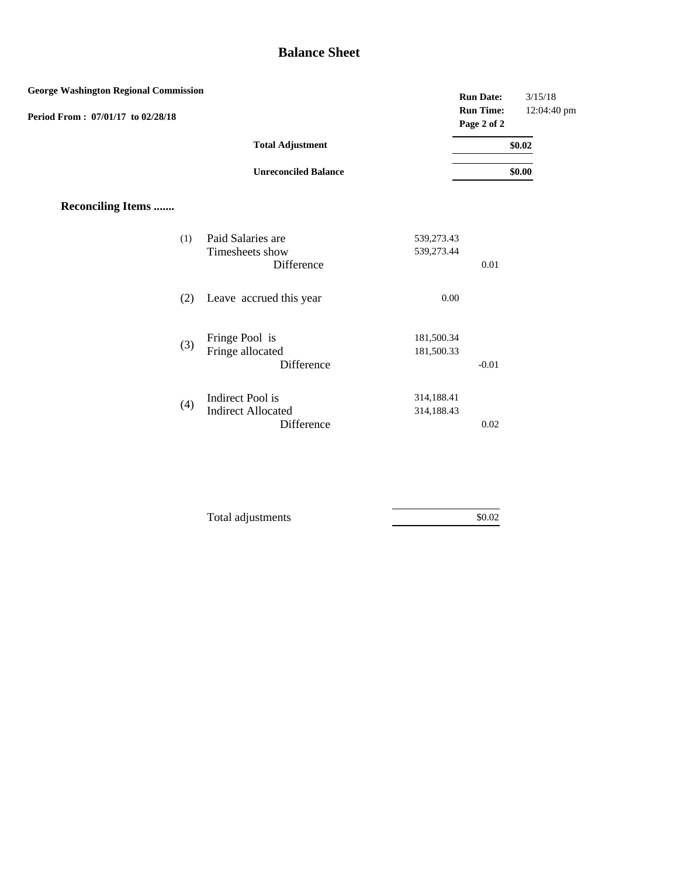## **Balance Sheet**

| <b>George Washington Regional Commission</b> |                                         |                          | <b>Run Date:</b>                | 3/15/18     |
|----------------------------------------------|-----------------------------------------|--------------------------|---------------------------------|-------------|
| Period From: 07/01/17 to 02/28/18            |                                         |                          | <b>Run Time:</b><br>Page 2 of 2 | 12:04:40 pm |
|                                              | <b>Total Adjustment</b>                 |                          |                                 | \$0.02      |
|                                              | <b>Unreconciled Balance</b>             |                          |                                 | \$0.00      |
| <b>Reconciling Items </b>                    |                                         |                          |                                 |             |
| (1)                                          | Paid Salaries are<br>Timesheets show    | 539,273.43<br>539,273.44 |                                 |             |
|                                              | Difference                              |                          | 0.01                            |             |
| (2)                                          | Leave accrued this year                 | $0.00\,$                 |                                 |             |
|                                              | Fringe Pool is                          | 181,500.34               |                                 |             |
| (3)                                          | Fringe allocated<br>Difference          | 181,500.33               | $-0.01$                         |             |
| (4)                                          | Indirect Pool is                        | 314,188.41               |                                 |             |
|                                              | <b>Indirect Allocated</b><br>Difference | 314,188.43               | 0.02                            |             |

| Total adjustments | \$0.02 |
|-------------------|--------|